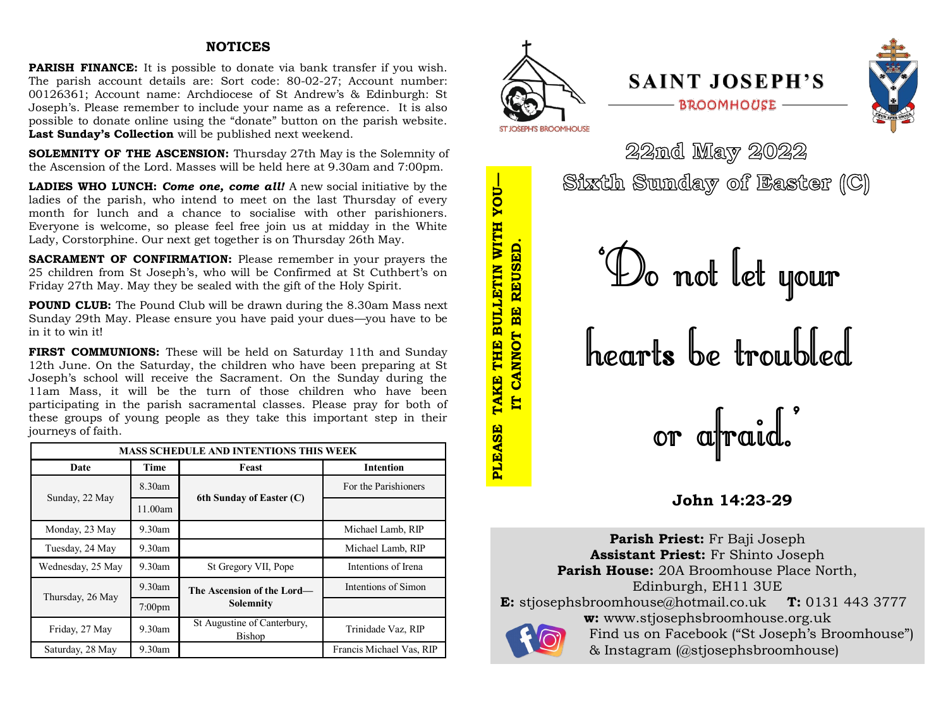## **NOTICES**

**PARISH FINANCE:** It is possible to donate via bank transfer if you wish. The parish account details are: Sort code: 80-02-27; Account number: 00126361; Account name: Archdiocese of St Andrew's & Edinburgh: St Joseph's. Please remember to include your name as a reference. It is also possible to donate online using the "donate" button on the parish website. **Last Sunday's Collection** will be published next weekend.

**SOLEMNITY OF THE ASCENSION:** Thursday 27th May is the Solemnity of the Ascension of the Lord. Masses will be held here at 9.30am and 7:00pm.

**LADIES WHO LUNCH:** *Come one, come all!* A new social initiative by the ladies of the parish, who intend to meet on the last Thursday of every month for lunch and a chance to socialise with other parishioners. Everyone is welcome, so please feel free join us at midday in the White Lady, Corstorphine. Our next get together is on Thursday 26th May.

**SACRAMENT OF CONFIRMATION:** Please remember in your prayers the 25 children from St Joseph's, who will be Confirmed at St Cuthbert's on Friday 27th May. May they be sealed with the gift of the Holy Spirit.

**POUND CLUB:** The Pound Club will be drawn during the 8.30am Mass next Sunday 29th May. Please ensure you have paid your dues—you have to be in it to win it!

**FIRST COMMUNIONS:** These will be held on Saturday 11th and Sunday 12th June. On the Saturday, the children who have been preparing at St Joseph's school will receive the Sacrament. On the Sunday during the 11am Mass, it will be the turn of those children who have been participating in the parish sacramental classes. Please pray for both of these groups of young people as they take this important step in their journeys of faith.

| <b>MASS SCHEDULE AND INTENTIONS THIS WEEK</b> |                    |                                         |                          |  |
|-----------------------------------------------|--------------------|-----------------------------------------|--------------------------|--|
| Date                                          | Time               | Feast                                   | <b>Intention</b>         |  |
| Sunday, 22 May                                | 8.30am             | 6th Sunday of Easter (C)                | For the Parishioners     |  |
|                                               | 11.00am            |                                         |                          |  |
| Monday, 23 May                                | $9.30$ am          |                                         | Michael Lamb, RIP        |  |
| Tuesday, 24 May                               | $9.30$ am          |                                         | Michael Lamb, RIP        |  |
| Wednesday, 25 May                             | 9.30am             | St Gregory VII, Pope                    | Intentions of Irena      |  |
| Thursday, 26 May                              | $9.30$ am          | The Ascension of the Lord—<br>Solemnity | Intentions of Simon      |  |
|                                               | 7:00 <sub>pm</sub> |                                         |                          |  |
| Friday, 27 May                                | $9.30$ am          | St Augustine of Canterbury,<br>Bishop   | Trinidade Vaz, RIP       |  |
| Saturday, 28 May                              | $9.30$ am          |                                         | Francis Michael Vas, RIP |  |



**PLEASE TAKE THE BULLETIN WITH YOU**

**PLEASE** 

**IT CANNOT BE REUSED.**

IT CANNOT BE REUSED.

TAKE THE BULLETIN WITH YOU-





22nd May 2022 Sixth Sunday of Easter (C)

'Do not let your

hearts be troubled

or afraid.'

**John 14:23-29**

**Parish Priest:** Fr Baji Joseph **Assistant Priest:** Fr Shinto Joseph **Parish House:** 20A Broomhouse Place North, Edinburgh, EH11 3UE **E:** stjosephsbroomhouse@hotmail.co.uk **T:** 0131 443 3777 **w:** www.stjosephsbroomhouse.org.uk Find us on Facebook ("St Joseph's Broomhouse") & Instagram (@stjosephsbroomhouse)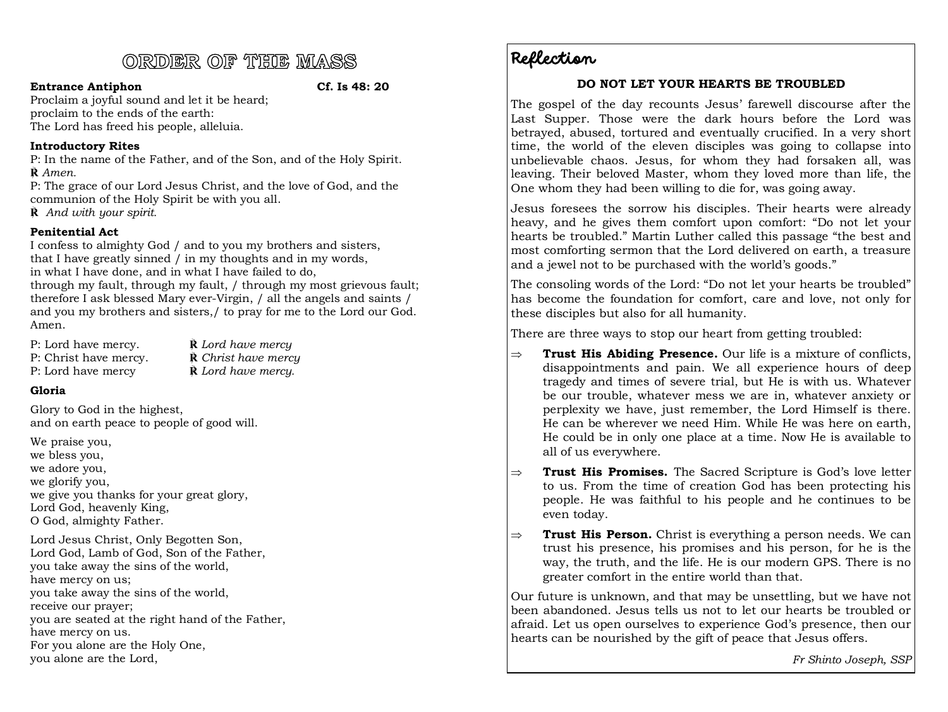# ORDER OF THE MASS

## **Entrance Antiphon Cf. Is 48: 20**

Proclaim a joyful sound and let it be heard; proclaim to the ends of the earth: The Lord has freed his people, alleluia.

## **Introductory Rites**

P: In the name of the Father, and of the Son, and of the Holy Spirit. **℟** *Amen.*

P: The grace of our Lord Jesus Christ, and the love of God, and the communion of the Holy Spirit be with you all. **℟** *And with your spirit.*

## **Penitential Act**

I confess to almighty God / and to you my brothers and sisters, that I have greatly sinned / in my thoughts and in my words, in what I have done, and in what I have failed to do, through my fault, through my fault, / through my most grievous fault; therefore I ask blessed Mary ever-Virgin, / all the angels and saints / and you my brothers and sisters,/ to pray for me to the Lord our God. Amen.

| P: Lord have mercy.   | $\dot{\mathbf{R}}$ Lord have mercy  |
|-----------------------|-------------------------------------|
| P: Christ have mercy. | $\mathbb R$ Christ have mercy       |
| P: Lord have mercy    | $\hat{\mathbf{R}}$ Lord have mercy. |

## **Gloria**

Glory to God in the highest, and on earth peace to people of good will.

We praise you, we bless you, we adore you, we glorify you, we give you thanks for your great glory, Lord God, heavenly King, O God, almighty Father.

Lord Jesus Christ, Only Begotten Son, Lord God, Lamb of God, Son of the Father, you take away the sins of the world, have mercy on us; you take away the sins of the world, receive our prayer; you are seated at the right hand of the Father, have mercy on us. For you alone are the Holy One, you alone are the Lord,

Reflection

## **DO NOT LET YOUR HEARTS BE TROUBLED**

The gospel of the day recounts Jesus' farewell discourse after the Last Supper. Those were the dark hours before the Lord was betrayed, abused, tortured and eventually crucified. In a very short time, the world of the eleven disciples was going to collapse into unbelievable chaos. Jesus, for whom they had forsaken all, was leaving. Their beloved Master, whom they loved more than life, the One whom they had been willing to die for, was going away.

Jesus foresees the sorrow his disciples. Their hearts were already heavy, and he gives them comfort upon comfort: "Do not let your hearts be troubled." Martin Luther called this passage "the best and most comforting sermon that the Lord delivered on earth, a treasure and a jewel not to be purchased with the world's goods."

The consoling words of the Lord: "Do not let your hearts be troubled" has become the foundation for comfort, care and love, not only for these disciples but also for all humanity.

There are three ways to stop our heart from getting troubled:

- $\Rightarrow$  **Trust His Abiding Presence.** Our life is a mixture of conflicts, disappointments and pain. We all experience hours of deep tragedy and times of severe trial, but He is with us. Whatever be our trouble, whatever mess we are in, whatever anxiety or perplexity we have, just remember, the Lord Himself is there. He can be wherever we need Him. While He was here on earth, He could be in only one place at a time. Now He is available to all of us everywhere.
- $\Rightarrow$  **Trust His Promises.** The Sacred Scripture is God's love letter to us. From the time of creation God has been protecting his people. He was faithful to his people and he continues to be even today.
- $\Rightarrow$  **Trust His Person.** Christ is everything a person needs. We can trust his presence, his promises and his person, for he is the way, the truth, and the life. He is our modern GPS. There is no greater comfort in the entire world than that.

Our future is unknown, and that may be unsettling, but we have not been abandoned. Jesus tells us not to let our hearts be troubled or afraid. Let us open ourselves to experience God's presence, then our hearts can be nourished by the gift of peace that Jesus offers.

*Fr Shinto Joseph, SSP*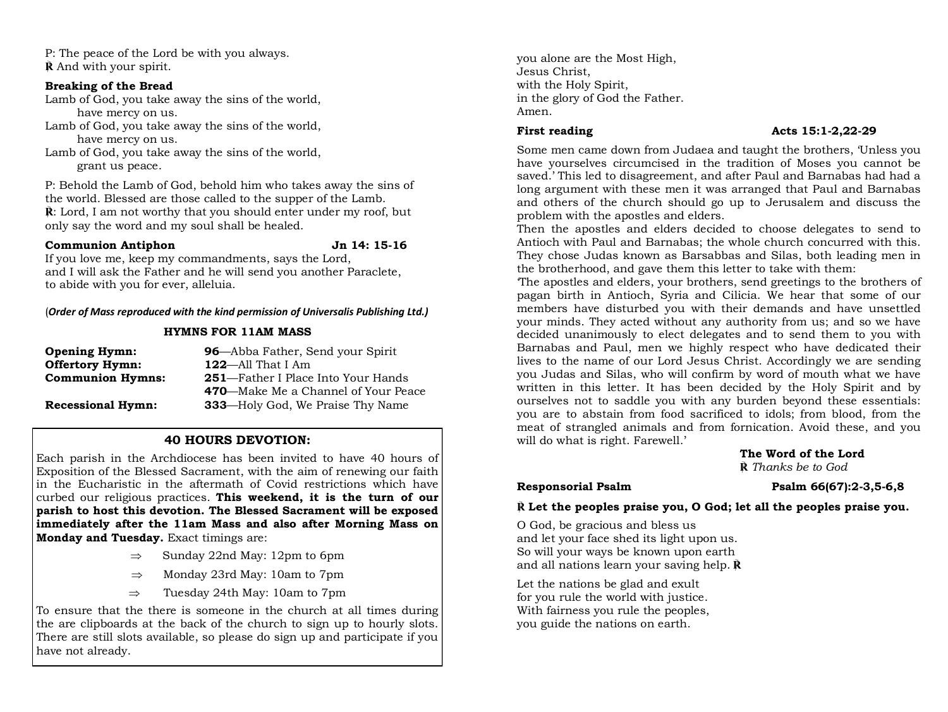P: The peace of the Lord be with you always. **℟** And with your spirit.

## **Breaking of the Bread**

Lamb of God, you take away the sins of the world, have mercy on us. Lamb of God, you take away the sins of the world, have mercy on us.

Lamb of God, you take away the sins of the world, grant us peace.

P: Behold the Lamb of God, behold him who takes away the sins of the world. Blessed are those called to the supper of the Lamb. **℟**: Lord, I am not worthy that you should enter under my roof, but only say the word and my soul shall be healed.

#### **Communion Antiphon Jn 14: 15-16**

If you love me, keep my commandments, says the Lord, and I will ask the Father and he will send you another Paraclete, to abide with you for ever, alleluia.

## (*Order of Mass reproduced with the kind permission of Universalis Publishing Ltd.)*

#### **HYMNS FOR 11AM MASS**

| <b>Opening Hymn:</b>     | <b>96</b> —Abba Father, Send your Spirit   |  |
|--------------------------|--------------------------------------------|--|
| <b>Offertory Hymn:</b>   | $122$ —All That I Am                       |  |
| <b>Communion Hymns:</b>  | <b>251</b> —Father I Place Into Your Hands |  |
|                          | 470—Make Me a Channel of Your Peace        |  |
| <b>Recessional Hymn:</b> | <b>333</b> —Holy God, We Praise Thy Name   |  |

## **40 HOURS DEVOTION:**

Each parish in the Archdiocese has been invited to have 40 hours of Exposition of the Blessed Sacrament, with the aim of renewing our faith in the Eucharistic in the aftermath of Covid restrictions which have curbed our religious practices. **This weekend, it is the turn of our parish to host this devotion. The Blessed Sacrament will be exposed immediately after the 11am Mass and also after Morning Mass on Monday and Tuesday.** Exact timings are:

- $\Rightarrow$  Sunday 22nd May: 12pm to 6pm
- $\Rightarrow$  Monday 23rd May: 10am to 7pm
- $\Rightarrow$  Tuesday 24th May: 10am to 7pm

To ensure that the there is someone in the church at all times during the are clipboards at the back of the church to sign up to hourly slots. There are still slots available, so please do sign up and participate if you have not already.

you alone are the Most High, Jesus Christ, with the Holy Spirit, in the glory of God the Father. Amen.

#### **First reading Acts 15:1-2,22-29**

Some men came down from Judaea and taught the brothers, 'Unless you have yourselves circumcised in the tradition of Moses you cannot be saved.' This led to disagreement, and after Paul and Barnabas had had a long argument with these men it was arranged that Paul and Barnabas and others of the church should go up to Jerusalem and discuss the problem with the apostles and elders.

Then the apostles and elders decided to choose delegates to send to Antioch with Paul and Barnabas; the whole church concurred with this. They chose Judas known as Barsabbas and Silas, both leading men in the brotherhood, and gave them this letter to take with them:

'The apostles and elders, your brothers, send greetings to the brothers of pagan birth in Antioch, Syria and Cilicia. We hear that some of our members have disturbed you with their demands and have unsettled your minds. They acted without any authority from us; and so we have decided unanimously to elect delegates and to send them to you with Barnabas and Paul, men we highly respect who have dedicated their lives to the name of our Lord Jesus Christ. Accordingly we are sending you Judas and Silas, who will confirm by word of mouth what we have written in this letter. It has been decided by the Holy Spirit and by ourselves not to saddle you with any burden beyond these essentials: you are to abstain from food sacrificed to idols; from blood, from the meat of strangled animals and from fornication. Avoid these, and you will do what is right. Farewell.'

**The Word of the Lord ℟** *Thanks be to God*

## **Responsorial Psalm Psalm 66(67):2-3,5-6,8**

### **℟ Let the peoples praise you, O God; let all the peoples praise you.**

O God, be gracious and bless us and let your face shed its light upon us. So will your ways be known upon earth and all nations learn your saving help. **℟**

Let the nations be glad and exult for you rule the world with justice. With fairness you rule the peoples, you guide the nations on earth.